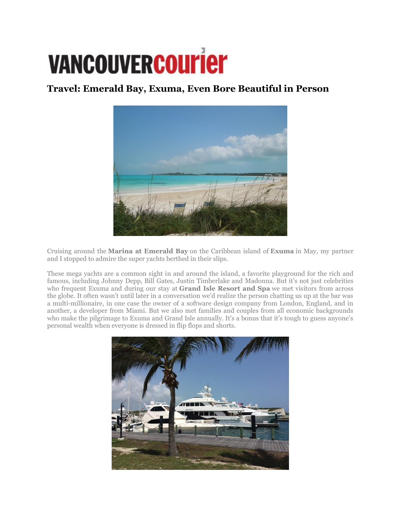## **VANCOUVERCOUrier**

## **Travel: Emerald Bay, Exuma, Even Bore Beautiful in Person**



Cruising around the **[Marina at Emerald Bay](http://www.marinaemeraldbay.com/)** on the Caribbean island of **[Exuma](http://www.bahamas.com/islands/exumas)** in May, my partner and I stopped to admire the super yachts berthed in their slips.

These mega yachts are a common sight in and around the island, a favorite playground for the rich and famous, including Johnny Depp, Bill Gates, Justin Timberlake and Madonna. But it's not just celebrities who frequent Exuma and during our stay at **[Grand Isle Resort and Spa](http://www.grandisleresort.com/)** we met visitors from across the globe. It often wasn't until later in a conversation we'd realize the person chatting us up at the bar was a multi-millionaire, in one case the owner of a software design company from London, England, and in another, a developer from Miami. But we also met families and couples from all economic backgrounds who make the pilgrimage to Exuma and Grand Isle annually. It's a bonus that it's tough to guess anyone's personal wealth when everyone is dressed in flip flops and shorts.